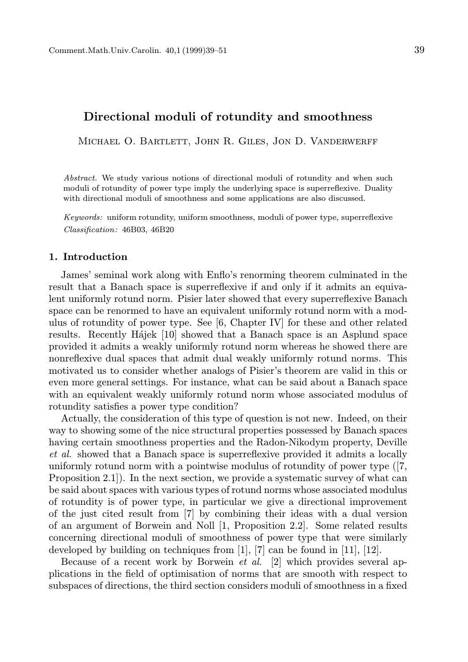# Directional moduli of rotundity and smoothness

Michael O. Bartlett, John R. Giles, Jon D. Vanderwerff

Abstract. We study various notions of directional moduli of rotundity and when such moduli of rotundity of power type imply the underlying space is superreflexive. Duality with directional moduli of smoothness and some applications are also discussed.

Keywords: uniform rotundity, uniform smoothness, moduli of power type, superreflexive Classification: 46B03, 46B20

## 1. Introduction

James' seminal work along with Enflo's renorming theorem culminated in the result that a Banach space is superreflexive if and only if it admits an equivalent uniformly rotund norm. Pisier later showed that every superreflexive Banach space can be renormed to have an equivalent uniformly rotund norm with a modulus of rotundity of power type. See [6, Chapter IV] for these and other related results. Recently Hajek [10] showed that a Banach space is an Asplund space provided it admits a weakly uniformly rotund norm whereas he showed there are nonreflexive dual spaces that admit dual weakly uniformly rotund norms. This motivated us to consider whether analogs of Pisier's theorem are valid in this or even more general settings. For instance, what can be said about a Banach space with an equivalent weakly uniformly rotund norm whose associated modulus of rotundity satisfies a power type condition?

Actually, the consideration of this type of question is not new. Indeed, on their way to showing some of the nice structural properties possessed by Banach spaces having certain smoothness properties and the Radon-Nikodym property, Deville et al. showed that a Banach space is superreflexive provided it admits a locally uniformly rotund norm with a pointwise modulus of rotundity of power type ([7, Proposition 2.1]). In the next section, we provide a systematic survey of what can be said about spaces with various types of rotund norms whose associated modulus of rotundity is of power type, in particular we give a directional improvement of the just cited result from [7] by combining their ideas with a dual version of an argument of Borwein and Noll [1, Proposition 2.2]. Some related results concerning directional moduli of smoothness of power type that were similarly developed by building on techniques from [1], [7] can be found in [11], [12].

Because of a recent work by Borwein et al. [2] which provides several applications in the field of optimisation of norms that are smooth with respect to subspaces of directions, the third section considers moduli of smoothness in a fixed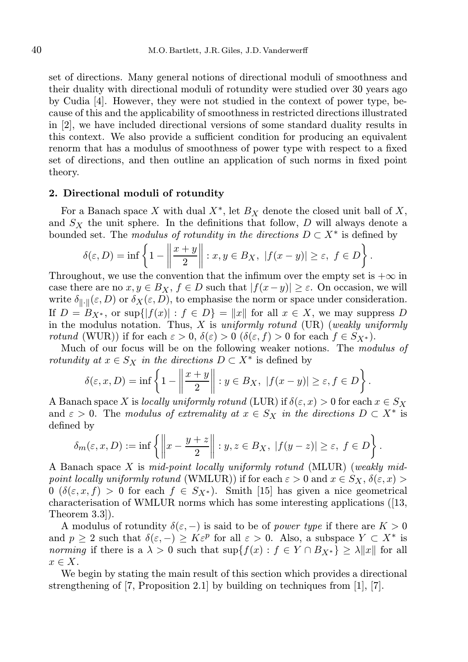set of directions. Many general notions of directional moduli of smoothness and their duality with directional moduli of rotundity were studied over 30 years ago by Cudia [4]. However, they were not studied in the context of power type, because of this and the applicability of smoothness in restricted directions illustrated in [2], we have included directional versions of some standard duality results in this context. We also provide a sufficient condition for producing an equivalent renorm that has a modulus of smoothness of power type with respect to a fixed set of directions, and then outline an application of such norms in fixed point theory.

#### 2. Directional moduli of rotundity

For a Banach space X with dual  $X^*$ , let  $B_X$  denote the closed unit ball of X, and  $S_X$  the unit sphere. In the definitions that follow, D will always denote a bounded set. The *modulus of rotundity in the directions*  $D \subset X^*$  is defined by

$$
\delta(\varepsilon, D) = \inf \left\{ 1 - \left\| \frac{x + y}{2} \right\| : x, y \in B_X, \ |f(x - y)| \ge \varepsilon, \ f \in D \right\}.
$$

Throughout, we use the convention that the infimum over the empty set is  $+\infty$  in case there are no  $x, y \in B_X$ ,  $f \in D$  such that  $|f(x-y)| \geq \varepsilon$ . On occasion, we will write  $\delta_{\|\cdot\|}(\varepsilon, D)$  or  $\delta_X(\varepsilon, D)$ , to emphasise the norm or space under consideration. If  $D = B_{X^*}$ , or sup $\{ |f(x)| : f \in D \} = ||x||$  for all  $x \in X$ , we may suppress D in the modulus notation. Thus, X is uniformly rotund  $(UR)$  (weakly uniformly *rotund* (WUR)) if for each  $\varepsilon > 0$ ,  $\delta(\varepsilon) > 0$  ( $\delta(\varepsilon, f) > 0$  for each  $f \in S_{X^*}$ ).

Much of our focus will be on the following weaker notions. The modulus of rotundity at  $x \in S_X$  in the directions  $D \subset X^*$  is defined by

$$
\delta(\varepsilon, x, D) = \inf \left\{ 1 - \left\| \frac{x + y}{2} \right\| : y \in B_X, \ |f(x - y)| \ge \varepsilon, f \in D \right\}.
$$

A Banach space X is locally uniformly rotund (LUR) if  $\delta(\varepsilon, x) > 0$  for each  $x \in S_X$ and  $\varepsilon > 0$ . The modulus of extremality at  $x \in S_X$  in the directions  $D \subset X^*$  is defined by

$$
\delta_m(\varepsilon, x, D) := \inf \left\{ \left\| x - \frac{y + z}{2} \right\| : y, z \in B_X, \ |f(y - z)| \ge \varepsilon, \ f \in D \right\}.
$$

A Banach space X is mid-point locally uniformly rotund (MLUR) (weakly midpoint locally uniformly rotund (WMLUR)) if for each  $\varepsilon > 0$  and  $x \in S_X$ ,  $\delta(\varepsilon, x) >$  $0 \ (\delta(\varepsilon, x, f) > 0 \text{ for each } f \in S_{X^*})$ . Smith [15] has given a nice geometrical characterisation of WMLUR norms which has some interesting applications ([13, Theorem 3.3]).

A modulus of rotundity  $\delta(\varepsilon, -)$  is said to be of *power type* if there are  $K > 0$ and  $p \geq 2$  such that  $\delta(\varepsilon, -) \geq K \varepsilon^p$  for all  $\varepsilon > 0$ . Also, a subspace  $Y \subset X^*$  is norming if there is a  $\lambda > 0$  such that  $\sup\{f(x) : f \in Y \cap By^*\} \ge \lambda ||x||$  for all  $x \in X$ .

We begin by stating the main result of this section which provides a directional strengthening of [7, Proposition 2.1] by building on techniques from [1], [7].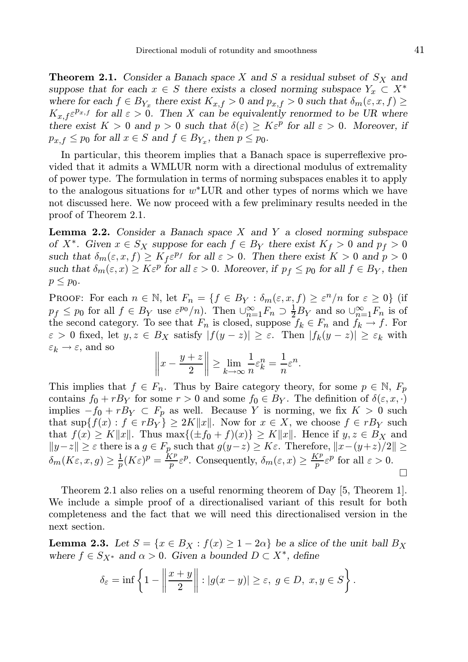**Theorem 2.1.** Consider a Banach space X and S a residual subset of  $S_X$  and suppose that for each  $x \in S$  there exists a closed norming subspace  $Y_x \subset X^*$ where for each  $f \in B_{Y_x}$  there exist  $K_{x,f} > 0$  and  $p_{x,f} > 0$  such that  $\delta_m(\varepsilon, x, f) \ge$  $K_{x,f} \varepsilon^{p_{x,f}}$  for all  $\varepsilon > 0$ . Then X can be equivalently renormed to be UR where there exist  $K > 0$  and  $p > 0$  such that  $\delta(\varepsilon) \geq K \varepsilon^p$  for all  $\varepsilon > 0$ . Moreover, if  $p_{x,f} \leq p_0$  for all  $x \in S$  and  $f \in B_{Y_x}$ , then  $p \leq p_0$ .

In particular, this theorem implies that a Banach space is superreflexive provided that it admits a WMLUR norm with a directional modulus of extremality of power type. The formulation in terms of norming subspaces enables it to apply to the analogous situations for  $w^*LUR$  and other types of norms which we have not discussed here. We now proceed with a few preliminary results needed in the proof of Theorem 2.1.

**Lemma 2.2.** Consider a Banach space  $X$  and  $Y$  a closed norming subspace of  $X^*$ . Given  $x \in S_X$  suppose for each  $f \in B_Y$  there exist  $K_f > 0$  and  $p_f > 0$ such that  $\delta_m(\varepsilon, x, f) \geq K_f \varepsilon^{pf}$  for all  $\varepsilon > 0$ . Then there exist  $K > 0$  and  $p > 0$ such that  $\delta_m(\varepsilon, x) \ge K \varepsilon^p$  for all  $\varepsilon > 0$ . Moreover, if  $p_f \le p_0$  for all  $f \in B_Y$ , then  $p \leq p_0$ .

PROOF: For each  $n \in \mathbb{N}$ , let  $F_n = \{f \in B_Y : \delta_m(\varepsilon, x, f) \geq \varepsilon^n/n \text{ for } \varepsilon \geq 0\}$  (if  $p_f \leq p_0$  for all  $f \in B_Y$  use  $\varepsilon^{p_0}/n$ . Then  $\bigcup_{n=1}^{\infty} F_n \supset \frac{1}{2}B_Y$  and so  $\bigcup_{n=1}^{\infty} F_n$  is of the second category. To see that  $F_n$  is closed, suppose  $f_k \in F_n$  and  $f_k \to f$ . For  $\varepsilon > 0$  fixed, let  $y, z \in B_X$  satisfy  $|f(y - z)| \ge \varepsilon$ . Then  $|f_k(y - z)| \ge \varepsilon_k$  with  $\varepsilon_k \to \varepsilon$ , and so

$$
\left\|x - \frac{y+z}{2}\right\| \ge \lim_{k \to \infty} \frac{1}{n} \varepsilon_k^n = \frac{1}{n} \varepsilon^n.
$$

This implies that  $f \in F_n$ . Thus by Baire category theory, for some  $p \in \mathbb{N}$ ,  $F_p$ contains  $f_0 + rB_Y$  for some  $r > 0$  and some  $f_0 \in B_Y$ . The definition of  $\delta(\varepsilon, x, \cdot)$ implies  $-f_0 + rB_Y \subset F_p$  as well. Because Y is norming, we fix  $K > 0$  such that  $\sup\{f(x): f \in rB_Y\} \geq 2K||x||$ . Now for  $x \in X$ , we choose  $f \in rB_Y$  such that  $f(x) \geq K||x||$ . Thus max $\{(\pm f_0 + f)(x)\} \geq K||x||$ . Hence if  $y, z \in B_X$  and  $||y-z|| \geq \varepsilon$  there is a  $g \in F_p$  such that  $g(y-z) \geq K\varepsilon$ . Therefore,  $||x-(y+z)/2|| \geq$  $\delta_m(K\varepsilon, x, g) \geq \frac{1}{p}(K\varepsilon)^p = \frac{K^p}{p}\varepsilon^p$ . Consequently,  $\delta_m(\varepsilon, x) \geq \frac{K^p}{p}\varepsilon^p$  for all  $\varepsilon > 0$ .  $\Box$ 

Theorem 2.1 also relies on a useful renorming theorem of Day [5, Theorem 1]. We include a simple proof of a directionalised variant of this result for both completeness and the fact that we will need this directionalised version in the next section.

**Lemma 2.3.** Let  $S = \{x \in B_X : f(x) \geq 1 - 2\alpha\}$  be a slice of the unit ball  $B_X$ where  $f \in S_{X^*}$  and  $\alpha > 0$ . Given a bounded  $D \subset X^*$ , define

$$
\delta_{\varepsilon} = \inf \left\{ 1 - \left\| \frac{x+y}{2} \right\| : |g(x-y)| \ge \varepsilon, \ g \in D, \ x, y \in S \right\}.
$$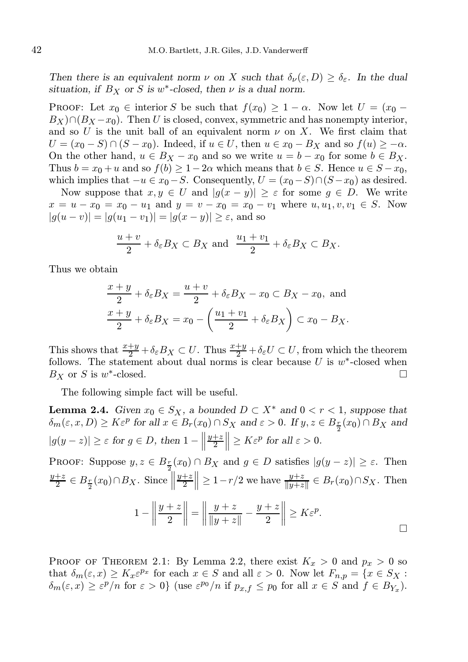Then there is an equivalent norm  $\nu$  on X such that  $\delta_{\nu}(\varepsilon, D) \geq \delta_{\varepsilon}$ . In the dual situation, if  $B_X$  or S is w<sup>\*</sup>-closed, then  $\nu$  is a dual norm.

**PROOF:** Let  $x_0 \in$  interior S be such that  $f(x_0) \geq 1 - \alpha$ . Now let  $U = (x_0 B_X \cap (B_X - x_0)$ . Then U is closed, convex, symmetric and has nonempty interior, and so U is the unit ball of an equivalent norm  $\nu$  on X. We first claim that  $U = (x_0 - S) \cap (S - x_0)$ . Indeed, if  $u \in U$ , then  $u \in x_0 - B_X$  and so  $f(u) \ge -\alpha$ . On the other hand,  $u \in B_X - x_0$  and so we write  $u = b - x_0$  for some  $b \in B_X$ . Thus  $b = x_0 + u$  and so  $f(b) \ge 1 - 2\alpha$  which means that  $b \in S$ . Hence  $u \in S - x_0$ , which implies that  $-u \in x_0 - S$ . Consequently,  $U = (x_0 - S) \cap (S - x_0)$  as desired.

Now suppose that  $x, y \in U$  and  $|g(x - y)| \geq \varepsilon$  for some  $g \in D$ . We write  $x = u - x_0 = x_0 - u_1$  and  $y = v - x_0 = x_0 - v_1$  where  $u, u_1, v, v_1 \in S$ . Now  $|g(u - v)| = |g(u_1 - v_1)| = |g(x - y)| \ge \varepsilon$ , and so

$$
\frac{u+v}{2} + \delta_{\varepsilon} B_X \subset B_X \text{ and } \frac{u_1+v_1}{2} + \delta_{\varepsilon} B_X \subset B_X.
$$

Thus we obtain

$$
\frac{x+y}{2} + \delta_{\varepsilon}B_X = \frac{u+v}{2} + \delta_{\varepsilon}B_X - x_0 \subset B_X - x_0, \text{ and}
$$

$$
\frac{x+y}{2} + \delta_{\varepsilon}B_X = x_0 - \left(\frac{u_1+v_1}{2} + \delta_{\varepsilon}B_X\right) \subset x_0 - B_X.
$$

This shows that  $\frac{x+y}{2} + \delta_{\varepsilon}B_X \subset U$ . Thus  $\frac{x+y}{2} + \delta_{\varepsilon}U \subset U$ , from which the theorem follows. The statement about dual norms is clear because U is  $w^*$ -closed when  $B_X$  or S is  $w^*$  $\Box$ 

The following simple fact will be useful.

**Lemma 2.4.** Given  $x_0 \in S_X$ , a bounded  $D \subset X^*$  and  $0 < r < 1$ , suppose that  $\delta_m(\varepsilon, x, D) \ge K \varepsilon^p$  for all  $x \in B_r(x_0) \cap S_X$  and  $\varepsilon > 0$ . If  $y, z \in B_{\frac{r}{2}}(x_0) \cap B_X$  and  $|g(y - z)| \geq \varepsilon$  for  $g \in D$ , then  $1 - \Big|$  $y+z$  $\frac{+z}{2}$   $\geq K\varepsilon^p$  for all  $\varepsilon > 0$ .

PROOF: Suppose 
$$
y, z \in B_{\frac{r}{2}}(x_0) \cap B_X
$$
 and  $g \in D$  satisfies  $|g(y - z)| \ge \varepsilon$ . Then  
\n
$$
\frac{y+z}{2} \in B_{\frac{r}{2}}(x_0) \cap B_X
$$
. Since  $\left\| \frac{y+z}{2} \right\| \ge 1 - r/2$  we have  $\frac{y+z}{\|y+z\|} \in B_r(x_0) \cap S_X$ . Then  
\n
$$
1 - \left\| \frac{y+z}{2} \right\| = \left\| \frac{y+z}{\|y+z\|} - \frac{y+z}{2} \right\| \ge K\varepsilon^p.
$$

PROOF OF THEOREM 2.1: By Lemma 2.2, there exist  $K_x > 0$  and  $p_x > 0$  so that  $\delta_m(\varepsilon, x) \geq K_x \varepsilon^{p_x}$  for each  $x \in S$  and all  $\varepsilon > 0$ . Now let  $F_{n,p} = \{x \in S_X :$  $\delta_m(\varepsilon, x) \ge \varepsilon^p/n$  for  $\varepsilon > 0$ } (use  $\varepsilon^{p_0}/n$  if  $p_{x,f} \le p_0$  for all  $x \in S$  and  $f \in B_{Y_x}$ ).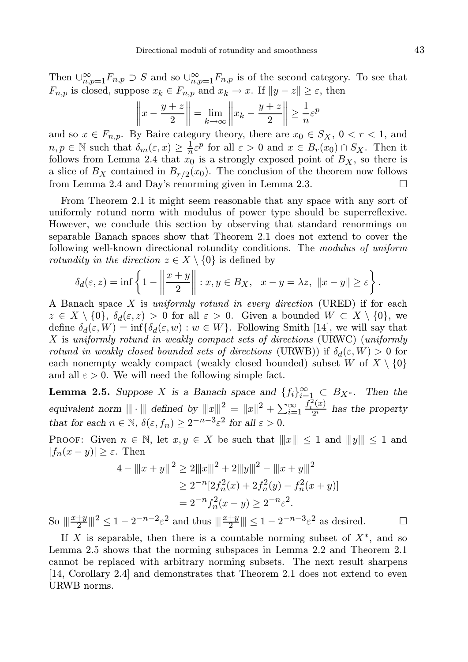Then  $\cup_{n,p=1}^{\infty} F_{n,p} \supset S$  and so  $\cup_{n,p=1}^{\infty} F_{n,p}$  is of the second category. To see that  $F_{n,p}$  is closed, suppose  $x_k \in F_{n,p}$  and  $x_k \to x$ . If  $||y - z|| \geq \varepsilon$ , then

$$
\left\|x - \frac{y+z}{2}\right\| = \lim_{k \to \infty} \left\|x_k - \frac{y+z}{2}\right\| \ge \frac{1}{n}\varepsilon^p
$$

and so  $x \in F_{n,p}$ . By Baire category theory, there are  $x_0 \in S_X$ ,  $0 < r < 1$ , and  $n, p \in \mathbb{N}$  such that  $\delta_m(\varepsilon, x) \geq \frac{1}{n} \varepsilon^p$  for all  $\varepsilon > 0$  and  $x \in B_r(x_0) \cap S_X$ . Then it follows from Lemma 2.4 that  $x_0$  is a strongly exposed point of  $B_X$ , so there is a slice of  $B_X$  contained in  $B_{r/2}(x_0)$ . The conclusion of the theorem now follows from Lemma 2.4 and Day's renorming given in Lemma 2.3.

From Theorem 2.1 it might seem reasonable that any space with any sort of uniformly rotund norm with modulus of power type should be superreflexive. However, we conclude this section by observing that standard renormings on separable Banach spaces show that Theorem 2.1 does not extend to cover the following well-known directional rotundity conditions. The modulus of uniform *rotundity in the direction*  $z \in X \setminus \{0\}$  is defined by

$$
\delta_d(\varepsilon, z) = \inf \left\{ 1 - \left\| \frac{x + y}{2} \right\| : x, y \in B_X, \ \ x - y = \lambda z, \ \|x - y\| \ge \varepsilon \right\}.
$$

A Banach space X is uniformly rotund in every direction (URED) if for each  $z \in X \setminus \{0\}, \delta_d(\varepsilon, z) > 0$  for all  $\varepsilon > 0$ . Given a bounded  $W \subset X \setminus \{0\},$  we define  $\delta_d(\varepsilon, W) = \inf \{ \delta_d(\varepsilon, w) : w \in W \}$ . Following Smith [14], we will say that X is uniformly rotund in weakly compact sets of directions (URWC) (uniformly rotund in weakly closed bounded sets of directions (URWB)) if  $\delta_d(\varepsilon, W) > 0$  for each nonempty weakly compact (weakly closed bounded) subset W of  $X \setminus \{0\}$ and all  $\varepsilon > 0$ . We will need the following simple fact.

**Lemma 2.5.** Suppose X is a Banach space and  $\{f_i\}_{i=1}^{\infty} \subset B_{X^*}$ . Then the equivalent norm  $\|\cdot\|$  defined by  $\|x\|^2 = \|x\|^2 + \sum_{i=1}^{\infty}$  $f_i^2(x)$  $\frac{d^{(x)}}{2^i}$  has the property that for each  $n \in \mathbb{N}$ ,  $\delta(\varepsilon, f_n) \ge 2^{-n-3}\varepsilon^2$  for all  $\varepsilon > 0$ .

**PROOF:** Given  $n \in \mathbb{N}$ , let  $x, y \in X$  be such that  $||x|| \leq 1$  and  $||y|| \leq 1$  and  $|f_n(x-y)| \geq \varepsilon$ . Then

$$
4 - ||x + y||2 \ge 2||x||2 + 2||y||2 - ||x + y||2
$$
  
\n
$$
\ge 2^{-n}[2f_n^2(x) + 2f_n^2(y) - f_n^2(x + y)]
$$
  
\n
$$
= 2^{-n}f_n^2(x - y) \ge 2^{-n}\varepsilon^2.
$$

So  $\|\frac{x+y}{2}\|^2 \le 1 - 2^{-n-2}\varepsilon^2$  and thus  $\|\frac{x+y}{2}\| \le 1 - 2^{-n-3}\varepsilon^2$  as desired.  $\square$ 

If X is separable, then there is a countable norming subset of  $X^*$ , and so Lemma 2.5 shows that the norming subspaces in Lemma 2.2 and Theorem 2.1 cannot be replaced with arbitrary norming subsets. The next result sharpens [14, Corollary 2.4] and demonstrates that Theorem 2.1 does not extend to even URWB norms.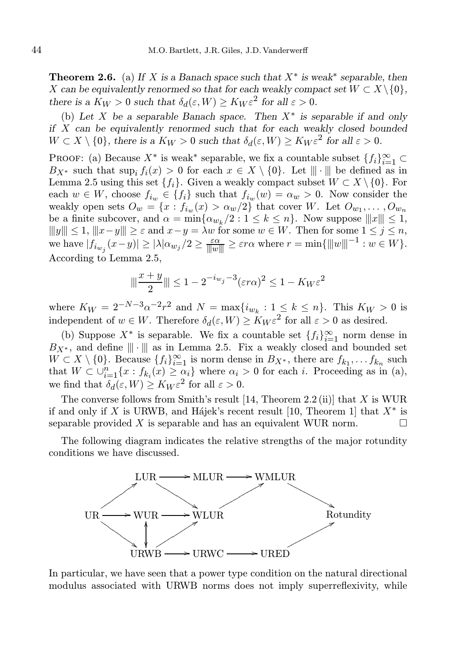**Theorem 2.6.** (a) If X is a Banach space such that  $X^*$  is weak<sup>\*</sup> separable, then X can be equivalently renormed so that for each weakly compact set  $W \subset X \setminus \{0\}$ , there is a  $K_W > 0$  such that  $\delta_d(\varepsilon, W) \geq K_W \varepsilon^2$  for all  $\varepsilon > 0$ .

(b) Let X be a separable Banach space. Then  $X^*$  is separable if and only if X can be equivalently renormed such that for each weakly closed bounded  $W \subset X \setminus \{0\}$ , there is a  $K_W > 0$  such that  $\delta_d(\varepsilon, W) \ge K_W \varepsilon^2$  for all  $\varepsilon > 0$ .

PROOF: (a) Because  $X^*$  is weak<sup>\*</sup> separable, we fix a countable subset  $\{f_i\}_{i=1}^{\infty}$  $B_{X^*}$  such that sup<sub>i</sub>  $f_i(x) > 0$  for each  $x \in X \setminus \{0\}$ . Let  $\|\cdot\|$  be defined as in Lemma 2.5 using this set  $\{f_i\}$ . Given a weakly compact subset  $W \subset X \setminus \{0\}$ . For each  $w \in W$ , choose  $f_{i_w} \in \{f_i\}$  such that  $f_{i_w}(w) = \alpha_w > 0$ . Now consider the weakly open sets  $O_w = \{x : f_{i_w}(x) > \alpha_w/2\}$  that cover W. Let  $O_{w_1}, \ldots, O_{w_n}$ be a finite subcover, and  $\alpha = \min{\{\alpha_{w_k}/2 : 1 \le k \le n\}}$ . Now suppose  $||x||| \le 1$ ,  $|||y||| \leq 1, |||x-y||| \geq \varepsilon$  and  $x-y = \lambda w$  for some  $w \in W$ . Then for some  $1 \leq j \leq n$ , we have  $|f_{i_{w_j}}(x-y)| \geq |\lambda|\alpha_{w_j}/2 \geq \frac{\varepsilon \alpha}{|\|w\||} \geq \varepsilon r \alpha$  where  $r = \min\{\|w\|^{-1} : w \in W\}.$ According to Lemma 2.5,

$$
\|\frac{x+y}{2}\| \le 1 - 2^{-i_{w_j}-3} (\varepsilon r \alpha)^2 \le 1 - K_W \varepsilon^2
$$

where  $K_W = 2^{-N-3} \alpha^{-2} r^2$  and  $N = \max\{i_{w_k} : 1 \leq k \leq n\}$ . This  $K_W > 0$  is independent of  $w \in W$ . Therefore  $\delta_d(\varepsilon, W) \ge K_W \varepsilon^2$  for all  $\varepsilon > 0$  as desired.

(b) Suppose  $X^*$  is separable. We fix a countable set  $\{f_i\}_{i=1}^{\infty}$  norm dense in  $B_{X^*}$ , and define  $\|\cdot\|$  as in Lemma 2.5. Fix a weakly closed and bounded set  $W \subset X \setminus \{0\}$ . Because  $\{f_i\}_{i=1}^{\infty}$  is norm dense in  $B_{X^*}$ , there are  $f_{k_1}, \ldots, f_{k_n}$  such that  $W \subset \bigcup_{i=1}^n \{x : f_{k_i}(x) \geq \alpha_i\}$  where  $\alpha_i > 0$  for each i. Proceeding as in (a), we find that  $\delta_d(\varepsilon, W) \geq K_W \varepsilon^2$  for all  $\varepsilon > 0$ .

The converse follows from Smith's result  $[14,$  Theorem 2.2 (ii)] that X is WUR if and only if X is URWB, and Hájek's recent result [10, Theorem 1] that  $X^*$  is separable provided X is separable and has an equivalent WUR norm.  $\Box$ 

The following diagram indicates the relative strengths of the major rotundity conditions we have discussed.



In particular, we have seen that a power type condition on the natural directional modulus associated with URWB norms does not imply superreflexivity, while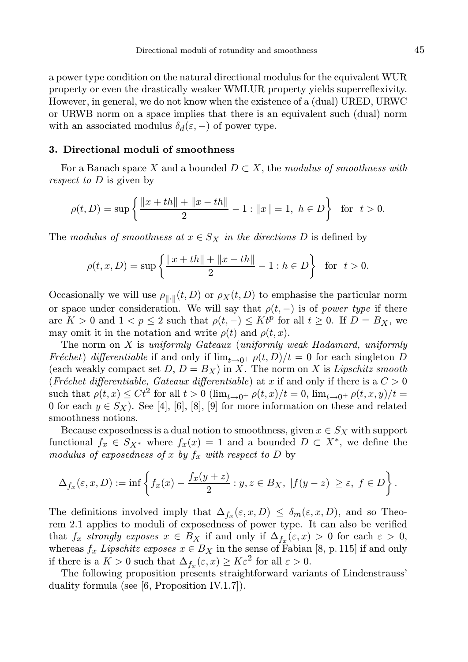a power type condition on the natural directional modulus for the equivalent WUR property or even the drastically weaker WMLUR property yields superreflexivity. However, in general, we do not know when the existence of a (dual) URED, URWC or URWB norm on a space implies that there is an equivalent such (dual) norm with an associated modulus  $\delta_d(\varepsilon, -)$  of power type.

### 3. Directional moduli of smoothness

For a Banach space X and a bounded  $D \subset X$ , the modulus of smoothness with respect to D is given by

$$
\rho(t,D) = \sup \left\{ \frac{\|x+th\| + \|x-th\|}{2} - 1 : \|x\| = 1, \ h \in D \right\} \text{ for } t > 0.
$$

The modulus of smoothness at  $x \in S_X$  in the directions D is defined by

$$
\rho(t, x, D) = \sup \left\{ \frac{\|x + th\| + \|x - th\|}{2} - 1 : h \in D \right\} \text{ for } t > 0.
$$

Occasionally we will use  $\rho_{\|\cdot\|}(t, D)$  or  $\rho_X(t, D)$  to emphasise the particular norm or space under consideration. We will say that  $\rho(t, -)$  is of power type if there are  $K > 0$  and  $1 < p \leq 2$  such that  $\rho(t, -) \leq K t^p$  for all  $t \geq 0$ . If  $D = B_X$ , we may omit it in the notation and write  $\rho(t)$  and  $\rho(t, x)$ .

The norm on  $X$  is uniformly Gateaux (uniformly weak Hadamard, uniformly Fréchet) differentiable if and only if  $\lim_{t\to 0^+} \rho(t,D)/t = 0$  for each singleton D (each weakly compact set  $D, D = B_X$ ) in X. The norm on X is Lipschitz smooth (Fréchet differentiable, Gateaux differentiable) at x if and only if there is a  $C > 0$ such that  $\rho(t,x) \leq Ct^2$  for all  $t > 0$   $(\lim_{t\to 0^+} \rho(t,x)/t = 0, \lim_{t\to 0^+} \rho(t,x,y)/t =$ 0 for each  $y \in S_X$ ). See [4], [6], [8], [9] for more information on these and related smoothness notions.

Because exposedness is a dual notion to smoothness, given  $x \in S_X$  with support functional  $f_x \in S_{X^*}$  where  $f_x(x) = 1$  and a bounded  $D \subset X^*$ , we define the modulus of exposedness of x by  $f_x$  with respect to D by

$$
\Delta_{f_x}(\varepsilon, x, D) := \inf \left\{ f_x(x) - \frac{f_x(y+z)}{2} : y, z \in B_X, \ |f(y-z)| \ge \varepsilon, \ f \in D \right\}.
$$

The definitions involved imply that  $\Delta_{f_x}(\varepsilon, x, D) \leq \delta_m(\varepsilon, x, D)$ , and so Theorem 2.1 applies to moduli of exposedness of power type. It can also be verified that  $f_x$  strongly exposes  $x \in B_X$  if and only if  $\Delta_{f_x}(\varepsilon, x) > 0$  for each  $\varepsilon > 0$ , whereas  $f_x$  Lipschitz exposes  $x \in B_X$  in the sense of Fabian [8, p. 115] if and only if there is a  $K > 0$  such that  $\Delta_{f_x}(\varepsilon, x) \ge K\varepsilon^2$  for all  $\varepsilon > 0$ .

The following proposition presents straightforward variants of Lindenstrauss' duality formula (see [6, Proposition IV.1.7]).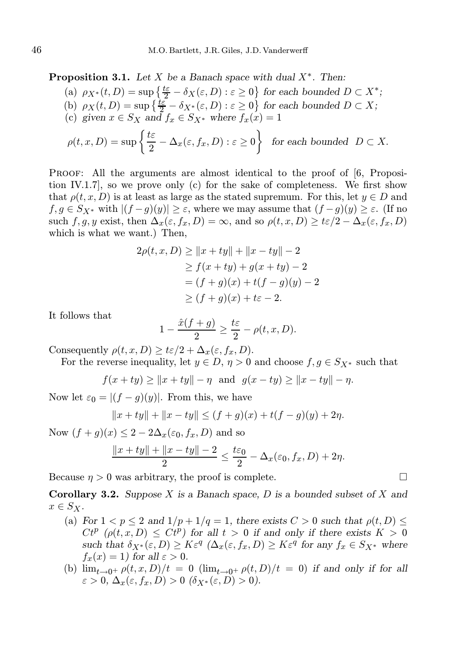**Proposition 3.1.** Let X be a Banach space with dual  $X^*$ . Then:

- (a)  $\rho_{X^*}(t, D) = \sup \left\{ \frac{t \varepsilon}{2} \delta_X(\varepsilon, D) : \varepsilon \geq 0 \right\}$  for each bounded  $D \subset X^*$ ;
- (b)  $\rho_X(t, D) = \sup \left\{ \frac{t \varepsilon}{2} \delta_{X^*}(\varepsilon, D) : \varepsilon \ge 0 \right\}$  for each bounded  $D \subset X$ ;
- (c) given  $x \in S_X$  and  $f_x \in S_{X^*}$  where  $f_x(x) = 1$

$$
\rho(t, x, D) = \sup \left\{ \frac{t\varepsilon}{2} - \Delta_x(\varepsilon, f_x, D) : \varepsilon \ge 0 \right\} \text{ for each bounded } D \subset X.
$$

PROOF: All the arguments are almost identical to the proof of [6, Proposition IV.1.7], so we prove only (c) for the sake of completeness. We first show that  $\rho(t, x, D)$  is at least as large as the stated supremum. For this, let  $y \in D$  and  $f, g \in S_{X^*}$  with  $|(f-g)(y)| \geq \varepsilon$ , where we may assume that  $(f-g)(y) \geq \varepsilon$ . (If no such f, g, y exist, then  $\Delta_x(\varepsilon, f_x, D) = \infty$ , and so  $\rho(t, x, D) \geq t\varepsilon/2 - \Delta_x(\varepsilon, f_x, D)$ which is what we want.) Then,

$$
2\rho(t, x, D) \ge ||x + ty|| + ||x - ty|| - 2
$$
  
\n
$$
\ge f(x + ty) + g(x + ty) - 2
$$
  
\n
$$
= (f + g)(x) + t(f - g)(y) - 2
$$
  
\n
$$
\ge (f + g)(x) + t\varepsilon - 2.
$$

It follows that

$$
1 - \frac{\hat{x}(f+g)}{2} \ge \frac{t\varepsilon}{2} - \rho(t, x, D).
$$

Consequently  $\rho(t, x, D) \geq t \varepsilon/2 + \Delta_x(\varepsilon, f_x, D)$ .

For the reverse inequality, let  $y \in D$ ,  $\eta > 0$  and choose  $f, g \in S_{X^*}$  such that

$$
f(x + ty) \ge ||x + ty|| - \eta
$$
 and  $g(x - ty) \ge ||x - ty|| - \eta$ .

Now let  $\varepsilon_0 = |(f - g)(y)|$ . From this, we have

$$
||x+ty|| + ||x-ty|| \le (f+g)(x) + t(f-g)(y) + 2\eta.
$$

Now  $(f+g)(x) \leq 2 - 2\Delta_x(\varepsilon_0, f_x, D)$  and so

$$
\frac{\|x+ty\| + \|x-ty\| - 2}{2} \le \frac{t\varepsilon_0}{2} - \Delta_x(\varepsilon_0, f_x, D) + 2\eta.
$$

Because  $\eta > 0$  was arbitrary, the proof is complete.

**Corollary 3.2.** Suppose X is a Banach space, D is a bounded subset of X and  $x \in S_X$ .

- (a) For  $1 < p \le 2$  and  $1/p + 1/q = 1$ , there exists  $C > 0$  such that  $\rho(t, D) \le$  $Ct^p$  ( $\rho(t, x, D) \leq Ct^p$ ) for all  $t > 0$  if and only if there exists  $K > 0$ such that  $\delta_{X^*}(\varepsilon, D) \geq K\varepsilon^q \ (\Delta_x(\varepsilon, f_x, D) \geq K\varepsilon^q \text{ for any } f_x \in S_{X^*} \text{ where }$  $f_x(x) = 1$ ) for all  $\varepsilon > 0$ .
- (b)  $\lim_{t\to 0^+} \rho(t,x,D)/t = 0$   $(\lim_{t\to 0^+} \rho(t,D)/t = 0)$  if and only if for all  $\varepsilon > 0$ ,  $\Delta_x(\varepsilon, f_x, D) > 0$   $(\delta_{X^*}(\varepsilon, D) > 0)$ .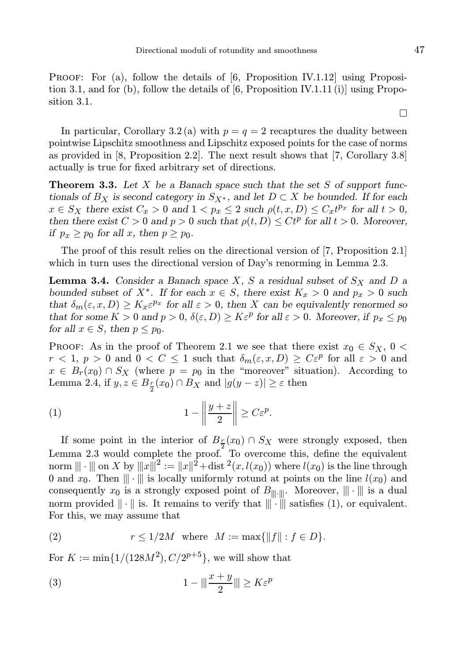PROOF: For (a), follow the details of [6, Proposition IV.1.12] using Proposition 3.1, and for  $(b)$ , follow the details of  $[6,$  Proposition IV.1.11 (i) using Proposition 3.1.

In particular, Corollary 3.2(a) with  $p = q = 2$  recaptures the duality between pointwise Lipschitz smoothness and Lipschitz exposed points for the case of norms as provided in [8, Proposition 2.2]. The next result shows that [7, Corollary 3.8] actually is true for fixed arbitrary set of directions.

**Theorem 3.3.** Let  $X$  be a Banach space such that the set  $S$  of support functionals of  $B_X$  is second category in  $S_{X^*}$ , and let  $D \subset X$  be bounded. If for each  $x \in S_X$  there exist  $C_x > 0$  and  $1 < p_x \leq 2$  such  $\rho(t, x, D) \leq C_x t^{p_x}$  for all  $t > 0$ , then there exist  $C > 0$  and  $p > 0$  such that  $\rho(t, D) \leq Ct^p$  for all  $t > 0$ . Moreover, if  $p_x \geq p_0$  for all x, then  $p \geq p_0$ .

The proof of this result relies on the directional version of [7, Proposition 2.1] which in turn uses the directional version of Day's renorming in Lemma 2.3.

**Lemma 3.4.** Consider a Banach space X, S a residual subset of  $S_X$  and D a bounded subset of  $X^*$ . If for each  $x \in S$ , there exist  $K_x > 0$  and  $p_x > 0$  such that  $\delta_m(\varepsilon, x, D) \geq K_x \varepsilon^{p_x}$  for all  $\varepsilon > 0$ , then X can be equivalently renormed so that for some  $K > 0$  and  $p > 0$ ,  $\delta(\varepsilon, D) \geq K \varepsilon^p$  for all  $\varepsilon > 0$ . Moreover, if  $p_x \leq p_0$ for all  $x \in S$ , then  $p \leq p_0$ .

PROOF: As in the proof of Theorem 2.1 we see that there exist  $x_0 \in S_X$ ,  $0 <$  $r < 1, p > 0$  and  $0 < C \le 1$  such that  $\delta_m(\varepsilon, x, D) \ge C \varepsilon^p$  for all  $\varepsilon > 0$  and  $x \in B_r(x_0) \cap S_X$  (where  $p = p_0$  in the "moreover" situation). According to Lemma 2.4, if  $y, z \in B_{\frac{r}{2}}(x_0) \cap B_X$  and  $|g(y - z)| \geq \varepsilon$  then

$$
(1) \t\t\t 1 - \left\| \frac{y+z}{2} \right\| \ge C\varepsilon^p.
$$

If some point in the interior of  $B_{\frac{r}{2}}(x_0) \cap S_X$  were strongly exposed, then Lemma 2.3 would complete the proof. To overcome this, define the equivalent norm  $||| \cdot |||$  on X by  $|||x|||^2 := ||x||^2 + \text{dist}^2(x, l(x_0))$  where  $l(x_0)$  is the line through 0 and  $x_0$ . Then  $\|\cdot\|$  is locally uniformly rotund at points on the line  $l(x_0)$  and consequently  $x_0$  is a strongly exposed point of  $B_{\|\cdot\|}$ . Moreover,  $\|\cdot\|$  is a dual norm provided  $\|\cdot\|$  is. It remains to verify that  $\|\cdot\|$  satisfies (1), or equivalent. For this, we may assume that

(2) 
$$
r \le 1/2M
$$
 where  $M := \max\{\|f\| : f \in D\}.$ 

For  $K := \min\{1/(128M^2), C/2^{p+5}\}\$ , we will show that

$$
(3) \t\t\t 1 - ||| \frac{x+y}{2} ||| \ge K \varepsilon^p
$$

 $\Box$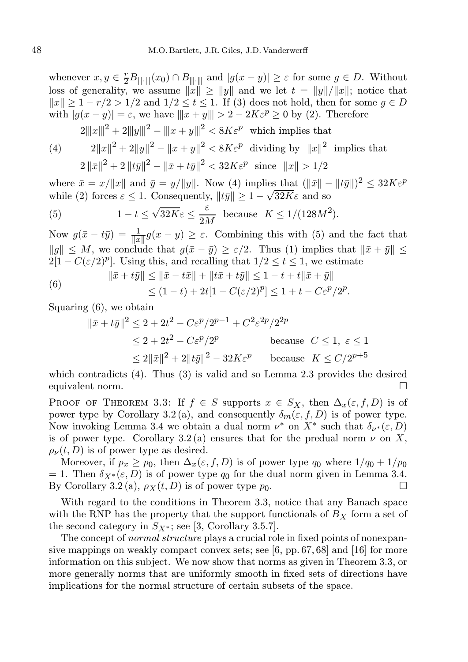whenever  $x, y \in \frac{r}{2}B_{\|\|\cdot\|}(x_0) \cap B_{\|\|\cdot\|}$  and  $|g(x - y)| \geq \varepsilon$  for some  $g \in D$ . Without loss of generality, we assume  $||x|| \ge ||y||$  and we let  $t = ||y||/||x||$ ; notice that  $||x|| > 1 - r/2 > 1/2$  and  $1/2 < t < 1$ . If (3) does not hold, then for some  $q \in D$ with  $|g(x - y)| = \varepsilon$ , we have  $||x + y|| > 2 - 2K\varepsilon^p \ge 0$  by (2). Therefore

 $2|||x|||^2 + 2|||y|||^2 - |||x + y|||^2 < 8K\varepsilon^p$  which implies that

(4) 
$$
2||x||^{2} + 2||y||^{2} - ||x + y||^{2} < 8K\varepsilon^{p} \text{ dividing by } ||x||^{2} \text{ implies that}
$$

$$
2||\bar{x}||^{2} + 2||\bar{y}||^{2} - ||\bar{x} + \bar{y}||^{2} < 32K\varepsilon^{p} \text{ since } ||x|| > 1/2
$$

where  $\bar{x} = x/||x||$  and  $\bar{y} = y/||y||$ . Now (4) implies that  $(||\bar{x}|| - ||t\bar{y}||)^2 \leq 32K\varepsilon^p$ while (2) forces  $\varepsilon \leq 1$ . Consequently,  $||t\bar{y}|| \geq 1 - \sqrt{32K}\varepsilon$  and so

(5) 
$$
1 - t \le \sqrt{32K\varepsilon} \le \frac{\varepsilon}{2M}
$$
 because  $K \le 1/(128M^2)$ .

Now  $g(\bar{x} - t\bar{y}) = \frac{1}{\|x\|} g(x - y) \geq \varepsilon$ . Combining this with (5) and the fact that  $||g|| \leq M$ , we conclude that  $g(\bar{x} - \bar{y}) \geq \varepsilon/2$ . Thus (1) implies that  $||\bar{x} + \bar{y}|| \leq$  $2[1 - C(\varepsilon/2)^p]$ . Using this, and recalling that  $1/2 \le t \le 1$ , we estimate

(6) 
$$
\|\bar{x} + t\bar{y}\| \le \|\bar{x} - t\bar{x}\| + \|t\bar{x} + t\bar{y}\| \le 1 - t + t\|\bar{x} + \bar{y}\|
$$

$$
\le (1 - t) + 2t[1 - C(\varepsilon/2)^p] \le 1 + t - C\varepsilon^p/2^p.
$$

Squaring (6), we obtain

$$
\|\bar{x} + t\bar{y}\|^2 \le 2 + 2t^2 - C\varepsilon^p/2^{p-1} + C^2\varepsilon^{2p}/2^{2p}
$$
  
\n
$$
\le 2 + 2t^2 - C\varepsilon^p/2^p
$$
 because  $C \le 1, \varepsilon \le 1$   
\n
$$
\le 2\|\bar{x}\|^2 + 2\|t\bar{y}\|^2 - 32K\varepsilon^p
$$
 because  $K \le C/2^{p+5}$ 

which contradicts (4). Thus (3) is valid and so Lemma 2.3 provides the desired equivalent norm.

PROOF OF THEOREM 3.3: If  $f \in S$  supports  $x \in S_X$ , then  $\Delta_x(\varepsilon, f, D)$  is of power type by Corollary 3.2(a), and consequently  $\delta_m(\varepsilon, f, D)$  is of power type. Now invoking Lemma 3.4 we obtain a dual norm  $\nu^*$  on  $X^*$  such that  $\delta_{\nu^*}(\varepsilon, D)$ is of power type. Corollary 3.2 (a) ensures that for the predual norm  $\nu$  on X,  $\rho_{\nu}(t, D)$  is of power type as desired.

Moreover, if  $p_x \geq p_0$ , then  $\Delta_x(\varepsilon, f, D)$  is of power type  $q_0$  where  $1/q_0 + 1/p_0$ = 1. Then  $\delta_{X^*}(\varepsilon, D)$  is of power type  $q_0$  for the dual norm given in Lemma 3.4. By Corollary 3.2 (a),  $\rho_X(t, D)$  is of power type  $p_0$ .

With regard to the conditions in Theorem 3.3, notice that any Banach space with the RNP has the property that the support functionals of  $B<sub>X</sub>$  form a set of the second category in  $S_{X^*}$ ; see [3, Corollary 3.5.7].

The concept of *normal structure* plays a crucial role in fixed points of nonexpansive mappings on weakly compact convex sets; see [6, pp. 67, 68] and [16] for more information on this subject. We now show that norms as given in Theorem 3.3, or more generally norms that are uniformly smooth in fixed sets of directions have implications for the normal structure of certain subsets of the space.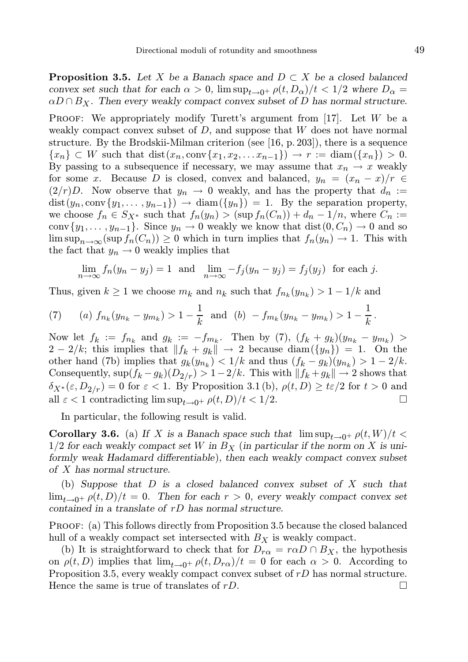**Proposition 3.5.** Let X be a Banach space and  $D \subset X$  be a closed balanced convex set such that for each  $\alpha > 0$ ,  $\limsup_{t\to 0^+} \rho(t, D_\alpha)/t < 1/2$  where  $D_\alpha =$  $\alpha D \cap B_X$ . Then every weakly compact convex subset of D has normal structure.

**PROOF:** We appropriately modify Turett's argument from [17]. Let  $W$  be a weakly compact convex subset of  $D$ , and suppose that  $W$  does not have normal structure. By the Brodskii-Milman criterion (see [16, p. 203]), there is a sequence  ${x_n} \subset W$  such that  $dist(x_n, conv\{x_1, x_2, \ldots x_{n-1}\}) \to r := diam({x_n}) > 0.$ By passing to a subsequence if necessary, we may assume that  $x_n \to x$  weakly for some x. Because D is closed, convex and balanced,  $y_n = (x_n - x)/r \in$  $(2/r)D$ . Now observe that  $y_n \to 0$  weakly, and has the property that  $d_n :=$  $dist(y_n, conv\{y_1, \ldots, y_{n-1}\}) \rightarrow diam(\{y_n\}) = 1$ . By the separation property, we choose  $f_n \in S_{X^*}$  such that  $f_n(y_n) > (\sup f_n(C_n)) + d_n - 1/n$ , where  $C_n :=$ conv $\{y_1, \ldots, y_{n-1}\}.$  Since  $y_n \to 0$  weakly we know that  $dist(0, C_n) \to 0$  and so  $\limsup_{n\to\infty}(\sup f_n(C_n))\geq 0$  which in turn implies that  $f_n(y_n)\to 1$ . This with the fact that  $y_n \to 0$  weakly implies that

$$
\lim_{n \to \infty} f_n(y_n - y_j) = 1 \text{ and } \lim_{n \to \infty} -f_j(y_n - y_j) = f_j(y_j) \text{ for each } j.
$$

Thus, given  $k \ge 1$  we choose  $m_k$  and  $n_k$  such that  $f_{n_k}(y_{n_k}) > 1 - 1/k$  and

(7) (a) 
$$
f_{n_k}(y_{n_k} - y_{m_k}) > 1 - \frac{1}{k}
$$
 and (b)  $-f_{m_k}(y_{n_k} - y_{m_k}) > 1 - \frac{1}{k}$ .

Now let  $f_k := f_{n_k}$  and  $g_k := -f_{m_k}$ . Then by (7),  $(f_k + g_k)(y_{n_k} - y_{m_k})$  $2 - 2/k$ ; this implies that  $||f_k + g_k|| \rightarrow 2$  because diam $(\{y_n\}) = 1$ . On the other hand (7b) implies that  $g_k(y_{n_k}) < 1/k$  and thus  $(f_k - g_k)(y_{n_k}) > 1 - 2/k$ . Consequently,  $\sup(f_k - g_k)(D_{2/r}) > 1-2/k$ . This with  $||f_k + g_k|| \to 2$  shows that  $\delta_{X^*}(\varepsilon, D_{2/r}) = 0$  for  $\varepsilon < 1$ . By Proposition 3.1 (b),  $\rho(t, D) \ge t\varepsilon/2$  for  $t > 0$  and all  $\varepsilon < 1$  contradicting lim sup.  $\rho_0 + \rho(t, D)/t < 1/2$ . all  $\varepsilon$  < 1 contradicting  $\limsup_{t\to 0^+} \rho(t,D)/t$  < 1/2.

In particular, the following result is valid.

**Corollary 3.6.** (a) If X is a Banach space such that  $\limsup_{t\to 0^+} \rho(t, W)/t$  $1/2$  for each weakly compact set W in  $B<sub>X</sub>$  (in particular if the norm on X is uniformly weak Hadamard differentiable), then each weakly compact convex subset of X has normal structure.

(b) Suppose that D is a closed balanced convex subset of X such that  $\lim_{t\to 0^+} \rho(t, D)/t = 0$ . Then for each  $r > 0$ , every weakly compact convex set contained in a translate of rD has normal structure.

Proof: (a) This follows directly from Proposition 3.5 because the closed balanced hull of a weakly compact set intersected with  $B_X$  is weakly compact.

(b) It is straightforward to check that for  $D_{r\alpha} = r\alpha D \cap B_{\chi}$ , the hypothesis on  $\rho(t, D)$  implies that  $\lim_{t\to 0^+} \rho(t, D_{r\alpha})/t = 0$  for each  $\alpha > 0$ . According to Proposition 3.5, every weakly compact convex subset of rD has normal structure. Hence the same is true of translates of  $rD$ .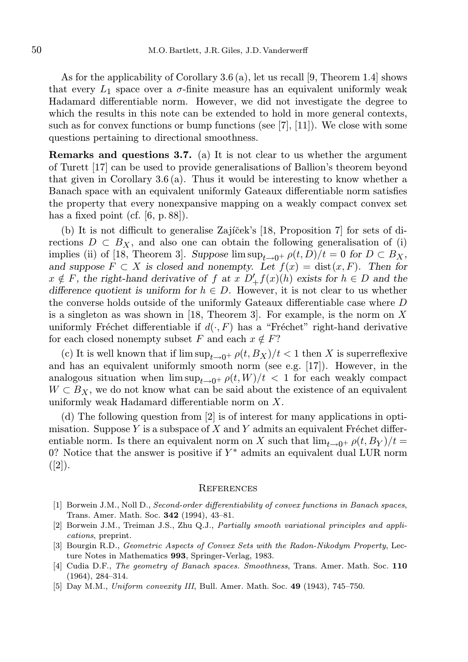As for the applicability of Corollary 3.6 (a), let us recall [9, Theorem 1.4] shows that every  $L_1$  space over a  $\sigma$ -finite measure has an equivalent uniformly weak Hadamard differentiable norm. However, we did not investigate the degree to which the results in this note can be extended to hold in more general contexts, such as for convex functions or bump functions (see  $[7], [11]$ ). We close with some questions pertaining to directional smoothness.

Remarks and questions 3.7. (a) It is not clear to us whether the argument of Turett [17] can be used to provide generalisations of Ballion's theorem beyond that given in Corollary 3.6 (a). Thus it would be interesting to know whether a Banach space with an equivalent uniformly Gateaux differentiable norm satisfies the property that every nonexpansive mapping on a weakly compact convex set has a fixed point (cf. [6, p. 88]).

(b) It is not difficult to generalise Zaj $\acute{i}$ cek's [18, Proposition 7] for sets of directions  $D \subset B_X$ , and also one can obtain the following generalisation of (i) implies (ii) of [18, Theorem 3]. Suppose  $\limsup_{t\to 0^+} \rho(t, D)/t = 0$  for  $D \subset B_X$ , and suppose  $F \subset X$  is closed and nonempty. Let  $f(x) = \text{dist}(x, F)$ . Then for  $x \notin F$ , the right-hand derivative of f at  $x D'_+ f(x)(h)$  exists for  $h \in D$  and the difference quotient is uniform for  $h \in D$ . However, it is not clear to us whether the converse holds outside of the uniformly Gateaux differentiable case where D is a singleton as was shown in [18, Theorem 3]. For example, is the norm on  $X$ uniformly Fréchet differentiable if  $d(\cdot, F)$  has a "Fréchet" right-hand derivative for each closed nonempty subset F and each  $x \notin F$ ?

(c) It is well known that if  $\limsup_{t\to 0^+} \rho(t, B_X)/t < 1$  then X is superreflexive and has an equivalent uniformly smooth norm (see e.g. [17]). However, in the analogous situation when  $\limsup_{t\to 0^+}\rho(t, W)/t < 1$  for each weakly compact  $W \subset B_X$ , we do not know what can be said about the existence of an equivalent uniformly weak Hadamard differentiable norm on X.

(d) The following question from [2] is of interest for many applications in optimisation. Suppose Y is a subspace of X and Y admits an equivalent Fréchet differentiable norm. Is there an equivalent norm on X such that  $\lim_{t\to 0^+} \rho(t, B_Y)/t =$ 0? Notice that the answer is positive if  $Y^*$  admits an equivalent dual LUR norm  $([2])$ .

#### **REFERENCES**

- [1] Borwein J.M., Noll D., Second-order differentiability of convex functions in Banach spaces, Trans. Amer. Math. Soc. 342 (1994), 43–81.
- [2] Borwein J.M., Treiman J.S., Zhu Q.J., Partially smooth variational principles and applications, preprint.
- [3] Bourgin R.D., Geometric Aspects of Convex Sets with the Radon-Nikodym Property, Lecture Notes in Mathematics 993, Springer-Verlag, 1983.
- [4] Cudia D.F., The geometry of Banach spaces. Smoothness, Trans. Amer. Math. Soc. 110 (1964), 284–314.
- [5] Day M.M., Uniform convexity III, Bull. Amer. Math. Soc. 49 (1943), 745-750.